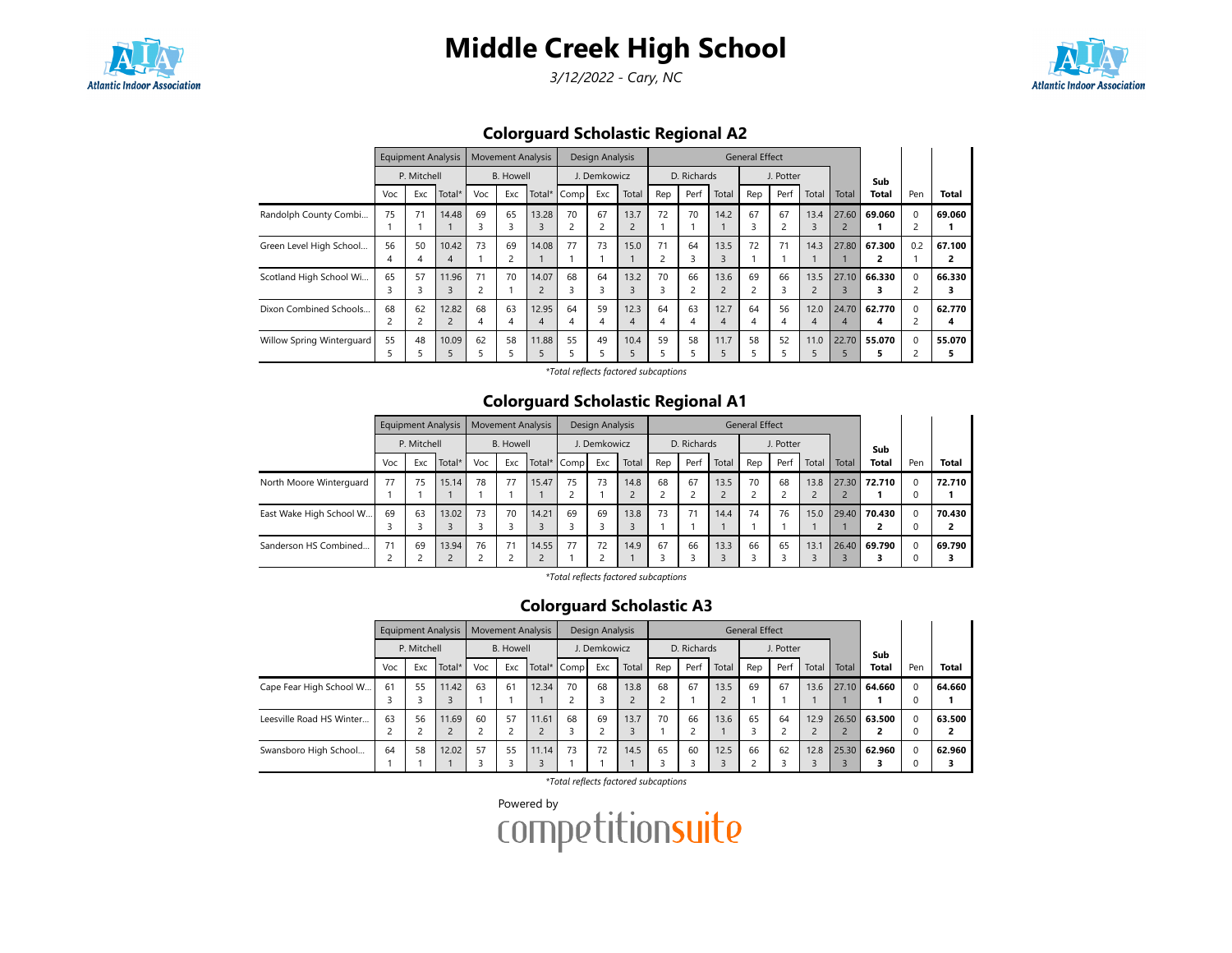

3/12/2022 - Cary, NC



## Colorguard Scholastic Regional A2

|                           |          | <b>Equipment Analysis</b> |                         |         | <b>Movement Analysis</b> |            |         | Design Analysis |                        |                      |             |           | General Effect |           |                        |                         |              |          |              |
|---------------------------|----------|---------------------------|-------------------------|---------|--------------------------|------------|---------|-----------------|------------------------|----------------------|-------------|-----------|----------------|-----------|------------------------|-------------------------|--------------|----------|--------------|
|                           |          | P. Mitchell               |                         |         | <b>B.</b> Howell         |            |         | J. Demkowicz    |                        |                      | D. Richards |           |                | J. Potter |                        |                         | Sub          |          |              |
|                           | Voc      | Exc                       | Total*                  | Voc     | Exc                      | Total*     | Comp    | Exc             | Total                  | Rep                  | Perf        | Total     | Rep            | Perf      | Total                  | Total                   | <b>Total</b> | Pen      | <b>Total</b> |
| Randolph County Combi     | 75       | 71                        | 14.48                   | 69<br>3 | 65<br>3                  | 13.28      | 70      | 67<br>2         | 13.7<br>$\overline{c}$ | 72                   | 70          | 14.2      | 67             | 67        | 13.4<br>3              | 27.60<br>2              | 69.060       | $\Omega$ | 69.060       |
| Green Level High School   | 56<br>4  | 50                        | 10.42<br>4              | 73      | 69                       | 14.08      | 77      | 73              | 15.0                   | 71<br>$\overline{c}$ | 64<br>3     | 13.5      | 72             | 71        | 14.3                   | 27.80                   | 67.300       | 0.2      | 67.100<br>2  |
| Scotland High School Wi   | 65<br>3  | 57                        | 11.96<br>3              | 71      | 70                       | 14.07      | 68      | 64<br>3         | 13.2                   | 70<br>3              | 66          | 13.6      | 69<br>2        | 66<br>3.  | 13.5<br>$\overline{c}$ | 27.10                   | 66.330<br>3  | $\Omega$ | 66.330<br>з  |
| Dixon Combined Schools    | 68<br>2  | 62                        | 12.82<br>$\overline{c}$ | 68<br>4 | 63<br>4                  | 12.95<br>4 | 64<br>4 | 59<br>4         | 12.3<br>4              | 64<br>4              | 63<br>4     | 12.7<br>4 | 64<br>4        | 56<br>4   | 12.0<br>4              | 24.70<br>$\overline{4}$ | 62.770<br>4  | $\Omega$ | 62.770<br>4  |
| Willow Spring Winterguard | 55<br>ה. | 48                        | 10.09                   | 62<br>5 | 58                       | 11.88      | 55      | 49              | 10.4                   | 59<br>5              | 58          | 11.7      | 58             | 52        | 11.0<br>5              | 22.70                   | 55.070       | $\Omega$ | 55.070<br>5  |

\*Total reflects factored subcaptions

### Colorguard Scholastic Regional A1

|                         |     | <b>Equipment Analysis</b> |        |     | <b>Movement Analysis</b> |       |             | Design Analysis |       |              |             |       | <b>General Effect</b> |           |       |       |              |          |              |
|-------------------------|-----|---------------------------|--------|-----|--------------------------|-------|-------------|-----------------|-------|--------------|-------------|-------|-----------------------|-----------|-------|-------|--------------|----------|--------------|
|                         |     | P. Mitchell               |        |     | <b>B.</b> Howell         |       |             | J. Demkowicz    |       |              | D. Richards |       |                       | J. Potter |       |       | Sub          |          |              |
|                         | Voc | Exc                       | Total* | Voc | Exc                      |       | Total* Comp | Exc             | Total | Rep          | Perf        | Total | Rep                   | Perf      | Total | Total | <b>Total</b> | Pen      | <b>Total</b> |
| North Moore Winterguard | 77  | 75                        | 15.14  | 78  | 77                       | 15.47 | 75          | 73              | 14.8  | 68<br>$\sim$ | 67          | 13.5  | 70                    | 68        | 13.8  | 27.30 | 72.710       | $\Omega$ | 72.710       |
| East Wake High School W | 69  | 63                        | 13.02  | 73  | 70                       | 14.21 | 69          | 69              | 13.8  | 73           | 71          | 14.4  | 74                    | 76        | 15.0  |       | 29.40 70.430 | $\Omega$ | 70.430       |
| Sanderson HS Combined   | 71  | 69                        | 13.94  | 76  | 71                       | 14.55 | 77          | 72              | 14.9  | 67           | 66          | 13.3  | 66                    | 65        | 13.1  | 26.40 | 69.790       | 0        | 69.790       |

\*Total reflects factored subcaptions

### Colorguard Scholastic A3

|                          |     |             | <b>Equipment Analysis</b> |     | <b>Movement Analysis</b> |       |             | Design Analysis |       |                                |             |       | <b>General Effect</b> |           |       |       |              |          |              |
|--------------------------|-----|-------------|---------------------------|-----|--------------------------|-------|-------------|-----------------|-------|--------------------------------|-------------|-------|-----------------------|-----------|-------|-------|--------------|----------|--------------|
|                          |     | P. Mitchell |                           |     | <b>B.</b> Howell         |       |             | J. Demkowicz    |       |                                | D. Richards |       |                       | J. Potter |       |       | Sub          |          |              |
|                          | Voc | Exc         | Total*                    | Voc | Exc                      |       | Total* Comp | Exc             | Total | Rep                            | Perf        | Total | Rep                   | Perf      | Total | Total | <b>Total</b> | Pen      | <b>Total</b> |
| Cape Fear High School W  | 61  | 55          | 11.42                     | 63  | 61                       | 12.34 | 70          | 68              | 13.8  | 68<br>$\overline{\phantom{0}}$ | 67          | 13.5  | 69                    | 67        | 13.6  | 27.10 | 64.660       | $\Omega$ | 64.660       |
|                          |     |             |                           |     |                          |       |             |                 |       |                                |             |       |                       |           |       |       |              | $\Omega$ |              |
| Leesville Road HS Winter | 63  | 56          | 11.69                     | 60  | 57                       | 11.61 | 68          | 69              | 13.7  | 70                             | 66          | 13.6  | 65                    | 64        | 12.9  | 26.50 | 63.500       | $\Omega$ | 63.500       |
|                          |     |             |                           |     | ے                        |       |             |                 |       |                                |             |       |                       |           |       |       |              |          |              |
| Swansboro High School    | 64  | 58          | 12.02                     | 57  | 55                       | 11.14 | 73          | 72              | 14.5  | 65                             | 60          | 12.5  | 66                    | 62        | 12.8  | 25.30 | 62.960       | $\Omega$ | 62.960       |
|                          |     |             |                           |     |                          |       |             |                 |       |                                |             |       |                       |           |       |       |              |          |              |

\*Total reflects factored subcaptions

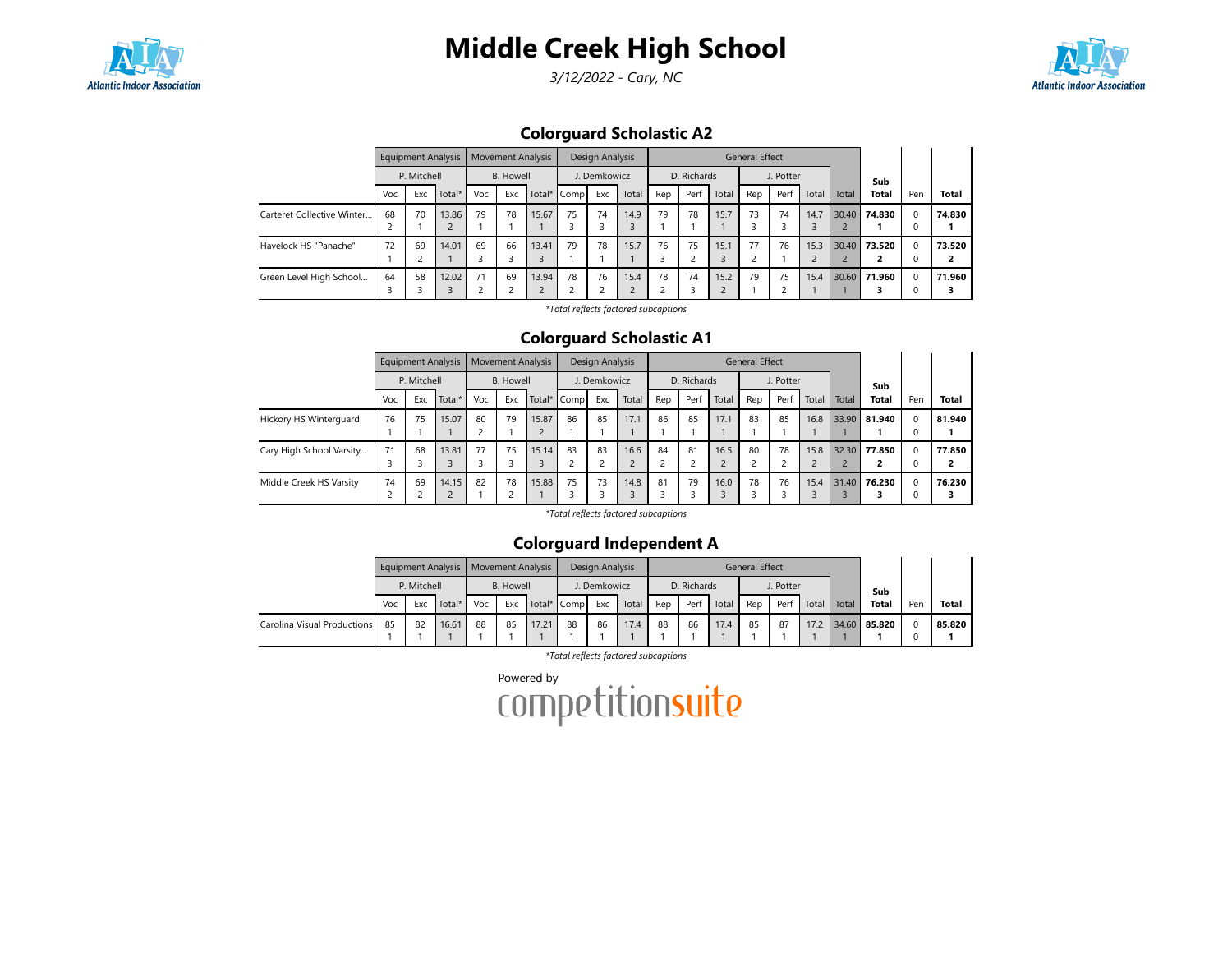

3/12/2022 - Cary, NC



Colorguard Scholastic A2

|                            |     |             | <b>Equipment Analysis</b> |     |                  | <b>Movement Analysis</b> |             | Design Analysis |       |         |             |       | <b>General Effect</b> |           |                        |       |              |               |              |
|----------------------------|-----|-------------|---------------------------|-----|------------------|--------------------------|-------------|-----------------|-------|---------|-------------|-------|-----------------------|-----------|------------------------|-------|--------------|---------------|--------------|
|                            |     | P. Mitchell |                           |     | <b>B.</b> Howell |                          |             | . Demkowicz     |       |         | D. Richards |       |                       | J. Potter |                        |       | Sub          |               |              |
|                            | Voc | Exc         | Total*                    | Voc | Exc              |                          | Total* Comp | Exc             | Total | Rep     | Perf        | Total | Rep                   | Perf      | Total                  | Total | <b>Total</b> | Pen           | <b>Total</b> |
| Carteret Collective Winter | 68  | 70          | 13.86                     | 79  | 78               | 15.67                    | 75          | 74              | 14.9  | 79      | 78          | 15.7  | 73                    | 74        | 14.7<br>$\overline{3}$ | 30.40 | 74.830       | $\Omega$<br>0 | 74.830       |
| Havelock HS "Panache"      | 72  | 69          | 14.01                     | 69  | 66               | 13.41                    | 79          | 78              | 15.7  | 76      | 75          | 15.1  | 77                    | 76        | 15.3<br>$\overline{2}$ |       | 30.40 73.520 | $\Omega$      | 73.520       |
| Green Level High School    | 64  | 58          | 12.02                     | 71  | 69               | 13.94                    | 78          | 76              | 15.4  | 78<br>∍ | 74          | 15.2  | 79                    | 75        | 15.4                   |       | 30.60 71.960 | $\Omega$      | 71.960       |

\*Total reflects factored subcaptions

### Colorguard Scholastic A1

|                          |     | <b>Equipment Analysis</b> |        |     | <b>Movement Analysis</b> |       |             | Design Analysis |       |     |             |       | <b>General Effect</b> |           |       |       |              |          |              |
|--------------------------|-----|---------------------------|--------|-----|--------------------------|-------|-------------|-----------------|-------|-----|-------------|-------|-----------------------|-----------|-------|-------|--------------|----------|--------------|
|                          |     | P. Mitchell               |        |     | <b>B.</b> Howell         |       |             | J. Demkowicz    |       |     | D. Richards |       |                       | J. Potter |       |       | Sub          |          |              |
|                          | Voc | Exc                       | Total* | Voc | Exc                      |       | Total* Comp | Exc             | Total | Rep | Perf        | Total | Rep                   | Perf      | Total | Total | <b>Total</b> | Pen      | <b>Total</b> |
| Hickory HS Winterguard   | 76  | 75                        | 15.07  | 80  | 79                       | 15.87 | 86          | 85              | 17.1  | 86  | 85          | 17.1  | 83                    | 85        | 16.8  | 33.90 | 81.940       | $\Omega$ | 81.940       |
|                          |     |                           |        |     |                          |       |             |                 |       |     |             |       |                       |           |       |       |              |          |              |
| Cary High School Varsity | 71  | 68                        | 13.81  | 77  | 75                       | 15.14 | 83          | 83              | 16.6  | 84  | 81          | 16.5  | 80                    | 78        | 15.8  | 32.30 | 77.850       | $\Omega$ | 77.850       |
|                          |     |                           |        |     |                          |       |             |                 |       | ے   |             |       |                       |           |       |       |              |          |              |
| Middle Creek HS Varsity  | 74  | 69                        | 14.15  | 82  | 78                       | 15.88 | 75          | 73              | 14.8  | 81  | 79          | 16.0  | 78                    | 76        | 15.4  | 31.40 | 76.230       | $\Omega$ | 76.230       |
|                          |     |                           |        |     | 2                        |       |             |                 |       |     |             |       |                       |           |       |       |              |          |              |

\*Total reflects factored subcaptions

## Colorguard Independent A

|                             |     |             | Equipment Analysis |     |           | Movement Analysis |             | Design Analysis |       |     |             |       | General Effect |           |       |       |              |     |              |
|-----------------------------|-----|-------------|--------------------|-----|-----------|-------------------|-------------|-----------------|-------|-----|-------------|-------|----------------|-----------|-------|-------|--------------|-----|--------------|
|                             |     | P. Mitchell |                    |     | B. Howell |                   |             | . Demkowicz     |       |     | D. Richards |       |                | J. Potter |       |       | Sub          |     |              |
|                             | Voc | Exc         | Total*             | Voc | Exc       |                   | Total* Comp | Exc             | Total | Rep | Perf        | Total | Rep            | Perf      | Total | Total | <b>Total</b> | Pen | <b>Total</b> |
| Carolina Visual Productions | 85  | 82          | 16.61              | 88  | 85        | 17.21             | 88          | 86              | 17.4  | 88  | 86          | 17.4  | 85             | 87        | 17.2  |       | 34.60 85.820 |     | 85.820       |
|                             |     |             |                    |     |           |                   |             |                 |       |     |             |       |                |           |       |       |              |     |              |

\*Total reflects factored subcaptions

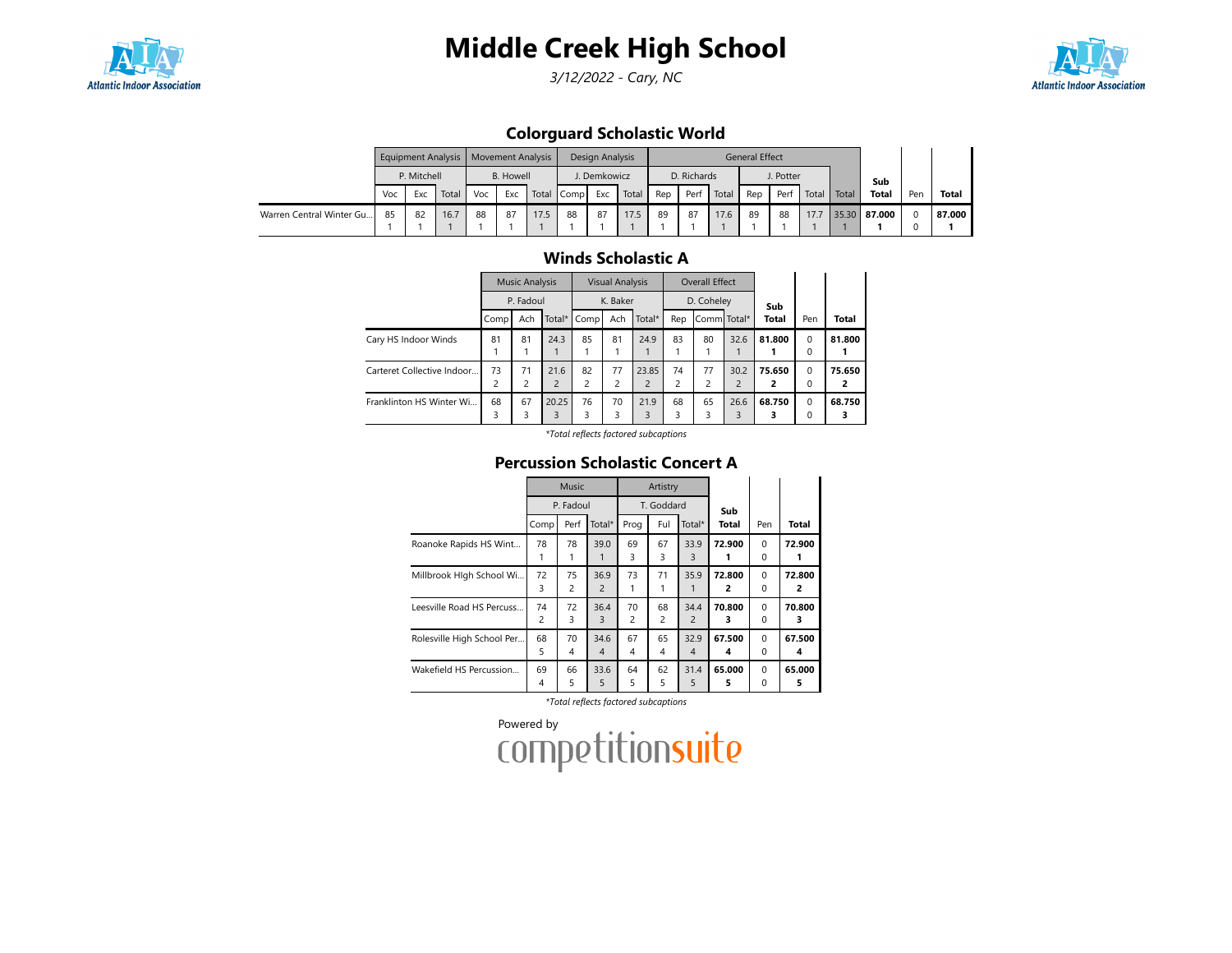

3/12/2022 - Cary, NC



## Colorguard Scholastic World

|                          |     |             | Equipment Analysis   Movement Analysis |     |                  |      |            | Design Analysis |       |     |             |       | General Effect |           |       |       |              |     |              |
|--------------------------|-----|-------------|----------------------------------------|-----|------------------|------|------------|-----------------|-------|-----|-------------|-------|----------------|-----------|-------|-------|--------------|-----|--------------|
|                          |     | P. Mitchell |                                        |     | <b>B.</b> Howell |      |            | . Demkowicz     |       |     | D. Richards |       |                | J. Potter |       |       | Sub          |     |              |
|                          | Voc | Exc         | Total                                  | Voc | Exc              |      | Total Comp | Exc             | Total | Rep | Perf        | Total | Rep            | Perf      | Total | Total | <b>Total</b> | Per | <b>Total</b> |
| Warren Central Winter Gu | 85  | 82          | 16.7                                   | 88  | 87               | 17.5 | 88         | 87              | 17.5  | 89  | 87          | 17.6  | 89             | 88        | 17.7  |       | 35.30 87.000 |     | 87.000       |
|                          |     |             |                                        |     |                  |      |            |                 |       |     |             |       |                |           |       |       |              |     |              |

## Winds Scholastic A

|                            |                               | <b>Music Analysis</b> |                        |         | <b>Visual Analysis</b> |                         |         | Overall Effect |                        |              |                         |              |
|----------------------------|-------------------------------|-----------------------|------------------------|---------|------------------------|-------------------------|---------|----------------|------------------------|--------------|-------------------------|--------------|
|                            |                               | P. Fadoul             |                        |         | K. Baker               |                         |         | D. Coheley     |                        | Sub          |                         |              |
|                            | Comp                          | Ach                   | Total*                 | Comp    | Ach                    | Total*                  | Rep     | Comm Total*    |                        | <b>Total</b> | Pen                     | <b>Total</b> |
| Cary HS Indoor Winds       | 81                            | 81                    | 24.3                   | 85      | 81                     | 24.9                    | 83      | 80             | 32.6                   | 81.800       | $\mathbf 0$<br>$\Omega$ | 81.800       |
| Carteret Collective Indoor | 73<br>$\overline{\mathbf{c}}$ | 71<br>2               | 21.6<br>$\overline{2}$ | 82<br>C | 77<br>2                | 23.85<br>$\overline{2}$ | 74<br>2 | 77<br>っ        | 30.2<br>$\overline{2}$ | 75.650<br>2  | $\Omega$<br>$\Omega$    | 75.650<br>2  |
| Franklinton HS Winter Wi   | 68<br>3                       | 67<br>3               | 20.25<br>3             | 76<br>3 | 70<br>3                | 21.9<br>3               | 68<br>3 | 65             | 26.6<br>3              | 68.750       | $\mathbf 0$<br>0        | 68.750       |

\*Total reflects factored subcaptions

## Percussion Scholastic Concert A

|                            |         | Music     |                        |         | Artistry   |                        |              |                      |             |
|----------------------------|---------|-----------|------------------------|---------|------------|------------------------|--------------|----------------------|-------------|
|                            |         | P. Fadoul |                        |         | T. Goddard |                        | Sub          |                      |             |
|                            | Comp    | Perf      | Total*                 | Prog    | Ful        | Total*                 | <b>Total</b> | Pen                  | Total       |
| Roanoke Rapids HS Wint     | 78<br>1 | 78<br>1   | 39.0                   | 69<br>3 | 67<br>3    | 33.9<br>3              | 72.900       | $\Omega$<br>0        | 72.900<br>1 |
| Millbrook Hlgh School Wi   | 72<br>3 | 75<br>2   | 36.9<br>$\overline{2}$ | 73      | 71<br>1    | 35.9                   | 72.800<br>2  | $\Omega$<br>$\Omega$ | 72.800<br>2 |
| Leesville Road HS Percuss  | 74<br>2 | 72<br>3   | 36.4<br>3              | 70<br>2 | 68<br>2    | 34.4<br>$\overline{2}$ | 70.800<br>з  | $\Omega$<br>$\Omega$ | 70.800<br>з |
| Rolesville High School Per | 68<br>5 | 70<br>4   | 34.6<br>$\overline{4}$ | 67<br>4 | 65<br>4    | 32.9<br>$\overline{4}$ | 67.500<br>4  | $\Omega$<br>$\Omega$ | 67.500<br>4 |
| Wakefield HS Percussion    | 69<br>4 | 66<br>5   | 33.6<br>5              | 64<br>5 | 62<br>5    | 31.4<br>5              | 65.000<br>5  | $\Omega$<br>$\Omega$ | 65.000<br>5 |

\*Total reflects factored subcaptions

Powered by<br>COMPetitionsuite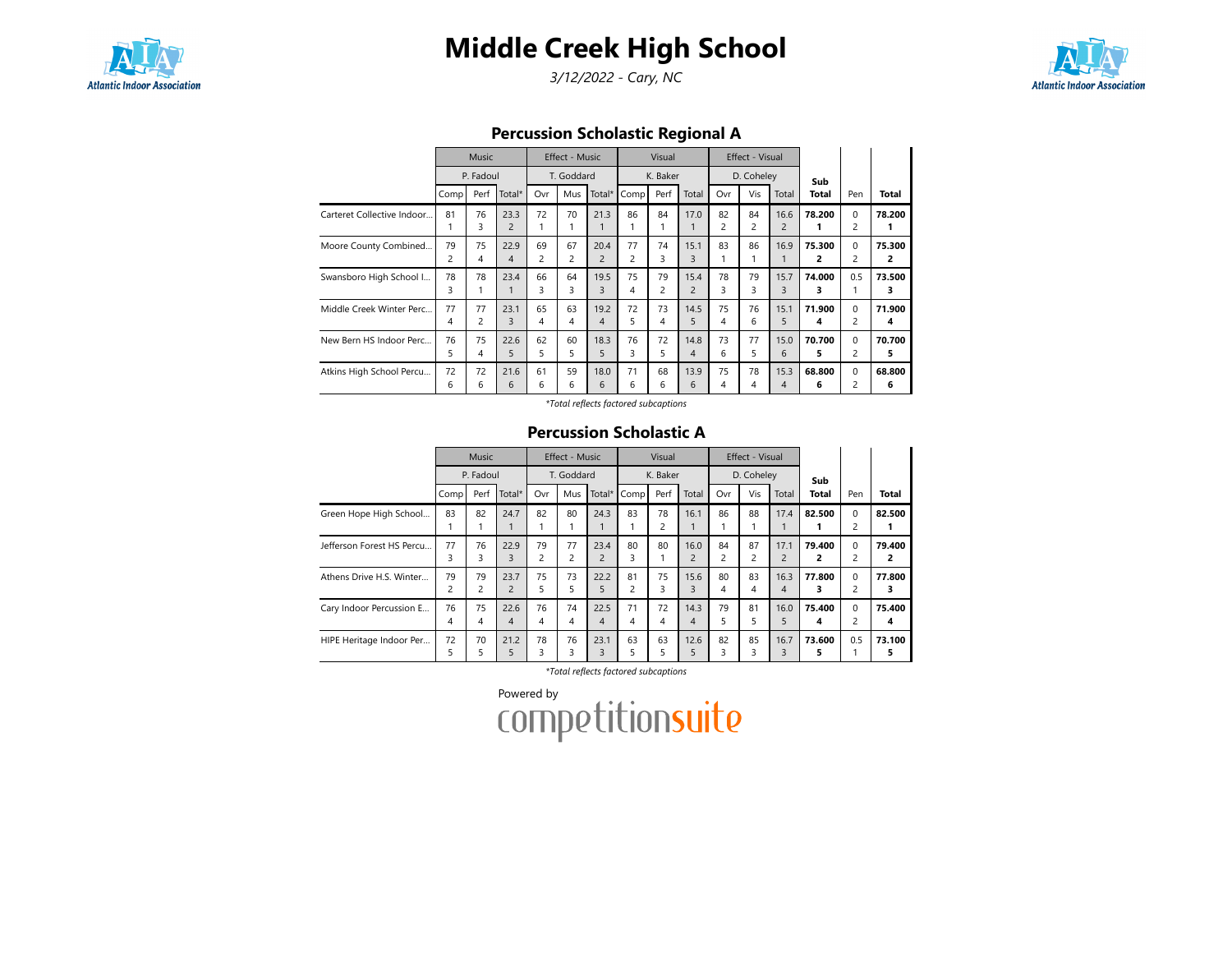

3/12/2022 - Cary, NC



Percussion Scholastic Regional A

|                            |         | <b>Music</b>         |                        |                      | Effect - Music       |                        |         | Visual               |                        |                      | Effect - Visual      |                        |             |                  |             |
|----------------------------|---------|----------------------|------------------------|----------------------|----------------------|------------------------|---------|----------------------|------------------------|----------------------|----------------------|------------------------|-------------|------------------|-------------|
|                            |         | P. Fadoul            |                        |                      | T. Goddard           |                        |         | K. Baker             |                        |                      | D. Coheley           |                        | Sub         |                  |             |
|                            | Comp    | Perf                 | Total*                 | Ovr                  | Mus                  | Total*                 | Comp    | Perf                 | Total                  | Ovr                  | Vis                  | Total                  | Total       | Pen              | Total       |
| Carteret Collective Indoor | 81      | 76<br>3              | 23.3<br>$\overline{2}$ | 72                   | 70                   | 21.3                   | 86      | 84                   | 17.0                   | 82<br>$\overline{c}$ | 84<br>$\overline{c}$ | 16.6<br>$\overline{2}$ | 78.200      | $\Omega$<br>2    | 78.200      |
| Moore County Combined      | 79<br>2 | 75<br>4              | 22.9<br>$\overline{4}$ | 69<br>$\overline{2}$ | 67<br>$\overline{2}$ | 20.4<br>$\overline{2}$ | 77<br>2 | 74<br>3              | 15.1<br>3              | 83                   | 86                   | 16.9                   | 75.300<br>2 | $\Omega$<br>2    | 75.300<br>2 |
| Swansboro High School I    | 78<br>3 | 78                   | 23.4<br>1              | 66<br>3              | 64<br>3              | 19.5<br>3              | 75<br>4 | 79<br>$\overline{2}$ | 15.4<br>$\overline{2}$ | 78<br>3              | 79<br>3              | 15.7<br>3              | 74.000<br>3 | 0.5              | 73.500<br>з |
| Middle Creek Winter Perc   | 77<br>4 | 77<br>$\overline{2}$ | 23.1<br>3              | 65<br>4              | 63<br>4              | 19.2<br>4              | 72<br>5 | 73<br>4              | 14.5<br>5              | 75<br>4              | 76<br>6              | 15.1<br>5              | 71.900<br>4 | $\Omega$<br>2    | 71.900<br>4 |
| New Bern HS Indoor Perc    | 76<br>5 | 75<br>4              | 22.6<br>5              | 62<br>5              | 60<br>5              | 18.3<br>5              | 76<br>3 | 72<br>5              | 14.8<br>$\overline{4}$ | 73<br>6              | 77<br>5              | 15.0<br>6              | 70.700<br>5 | $\Omega$<br>2    | 70.700<br>5 |
| Atkins High School Percu   | 72<br>6 | 72<br>6              | 21.6<br>6              | 61<br>6              | 59<br>6              | 18.0<br>6              | 71<br>6 | 68<br>6              | 13.9<br>6              | 75<br>4              | 78<br>4              | 15.3<br>4              | 68.800<br>6 | $\mathbf 0$<br>2 | 68.800<br>6 |

\*Total reflects factored subcaptions

#### Percussion Scholastic A

|                           |                      | <b>Music</b> |                        |                      | Effect - Music       |                        |                      | Visual   |                        |                      | Effect - Visual      |                        |             |                               |              |
|---------------------------|----------------------|--------------|------------------------|----------------------|----------------------|------------------------|----------------------|----------|------------------------|----------------------|----------------------|------------------------|-------------|-------------------------------|--------------|
|                           |                      | P. Fadoul    |                        |                      | T. Goddard           |                        |                      | K. Baker |                        |                      | D. Coheley           |                        | Sub         |                               |              |
|                           | Comp                 | Perf         | Total*                 | Ovr                  | Mus                  | Total*                 | Comp                 | Perf     | Total                  | Ovr                  | Vis                  | Total                  | Total       | Pen                           | <b>Total</b> |
| Green Hope High School    | 83                   | 82           | 24.7                   | 82                   | 80                   | 24.3                   | 83                   | 78<br>2  | 16.1                   | 86                   | 88                   | 17.4                   | 82.500      | $\mathbf 0$<br>2              | 82.500       |
| Jefferson Forest HS Percu | 77<br>3              | 76<br>3      | 22.9<br>3              | 79<br>$\overline{c}$ | 77<br>$\overline{c}$ | 23.4<br>$\overline{2}$ | 80<br>3              | 80       | 16.0<br>$\overline{2}$ | 84<br>$\overline{c}$ | 87<br>$\overline{2}$ | 17.1<br>$\overline{2}$ | 79.400<br>2 | $\mathbf 0$<br>$\overline{c}$ | 79.400<br>2  |
| Athens Drive H.S. Winter  | 79<br>$\overline{c}$ | 79<br>2      | 23.7<br>$\overline{c}$ | 75<br>5              | 73<br>5              | 22.2<br>5              | 81<br>$\overline{c}$ | 75<br>3  | 15.6<br>3              | 80<br>4              | 83<br>4              | 16.3<br>4              | 77.800<br>з | $\Omega$<br>$\overline{c}$    | 77.800<br>3  |
| Cary Indoor Percussion E  | 76<br>4              | 75<br>4      | 22.6<br>4              | 76<br>4              | 74<br>4              | 22.5<br>$\overline{4}$ | 71<br>4              | 72<br>4  | 14.3<br>4              | 79<br>5              | 81<br>5.             | 16.0<br>5              | 75.400<br>4 | $\Omega$<br>2                 | 75.400<br>4  |
| HIPE Heritage Indoor Per  | 72<br>5              | 70<br>5      | 21.2<br>5              | 78<br>3              | 76<br>3              | 23.1<br>3              | 63<br>5              | 63<br>5  | 12.6<br>5              | 82<br>3              | 85<br>3              | 16.7<br>3              | 73.600<br>5 | 0.5                           | 73.100<br>5  |

\*Total reflects factored subcaptions

Powered by<br>COMPetitionsuite